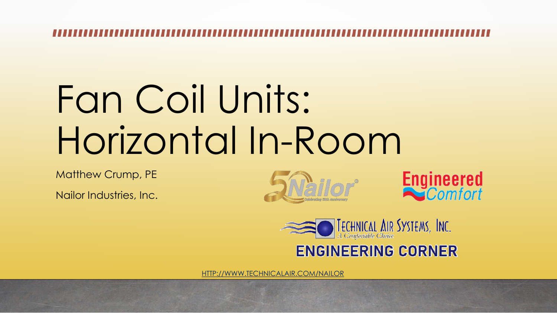# Fan Coil Units: Horizontal In-Room

Matthew Crump, PE

Nailor Industries, Inc.







### **ENGINEERING CORNER**

[HTTP://WWW.TECHNICALAIR.COM/NAILOR](http://www.technicalair.com/nailor)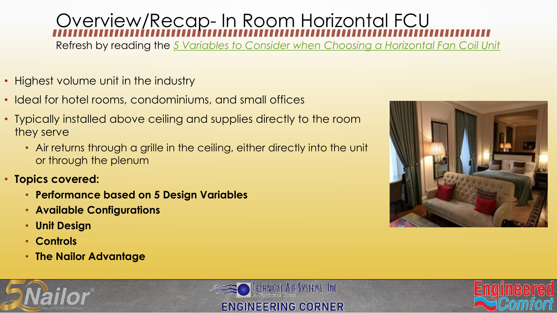## Overview/Recap- In Room Horizontal FCU

Refresh by reading the *[5 Variables to Consider when Choosing a Horizontal Fan Coil Unit](https://7d28ced9-0a06-4466-b1ff-6baf44699a06.filesusr.com/ugd/660a24_44ee5d3de423405f9a01bac4e8033d14.pdf)*

- Highest volume unit in the industry
- Ideal for hotel rooms, condominiums, and small offices
- Typically installed above ceiling and supplies directly to the room they serve
	- Air returns through a grille in the ceiling, either directly into the unit or through the plenum
- **Topics covered:**
	- **Performance based on 5 Design Variables**
	- **Available Configurations**
	- **Unit Design**
	- **Controls**
	- **The Nailor Advantage**



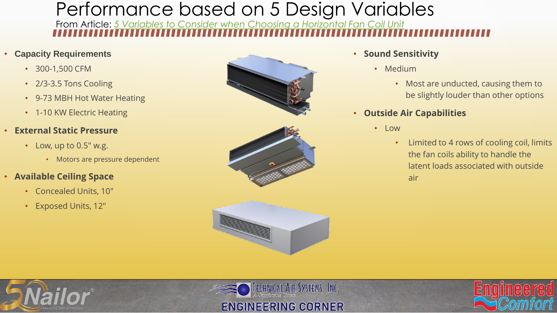## Performance based on 5 Design Variables

From Article: *[5 Variables to Consider when Choosing a Horizontal Fan Coil Unit](https://7d28ced9-0a06-4466-b1ff-6baf44699a06.filesusr.com/ugd/660a24_44ee5d3de423405f9a01bac4e8033d14.pdf)*

#### • **Capacity Requirements**

- 300-1,500 CFM
- 2/3-3.5 Tons Cooling
- 9-73 MBH Hot Water Heating
- 1-10 KW Electric Heating
- **External Static Pressure**
	- Low, up to 0.5" w.g.
		- Motors are pressure dependent

#### • **Available Ceiling Space**

- Concealed Units, 10"
- Exposed Units, 12"







#### • **Sound Sensitivity**

- Medium
	- Most are unducted, causing them to be slightly louder than other options
- **Outside Air Capabilities**
	- Low
		- Limited to 4 rows of cooling coil, limits the fan coils ability to handle the latent loads associated with outside air





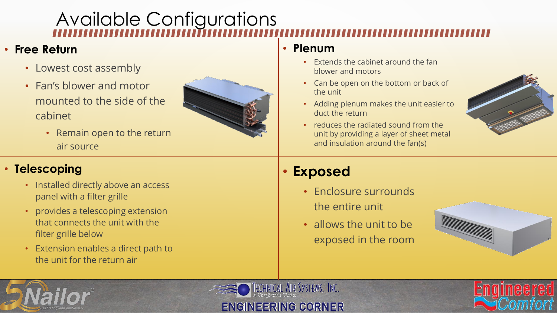## Available Configurations

### • **Free Return**

- Lowest cost assembly
- Fan's blower and motor mounted to the side of the cabinet
	- Remain open to the return air source

### • **Telescoping**

- Installed directly above an access panel with a filter grille
- provides a telescoping extension that connects the unit with the filter grille below
- Extension enables a direct path to the unit for the return air



### • **Plenum**

- Extends the cabinet around the fan blower and motors
- Can be open on the bottom or back of the unit
- Adding plenum makes the unit easier to duct the return
- reduces the radiated sound from the unit by providing a layer of sheet metal and insulation around the fan(s)



### • **Exposed**

TECHNICAL AIR SYSTEMS, INC.

**ENGINEERING CORNER** 

- Enclosure surrounds the entire unit
- allows the unit to be exposed in the room



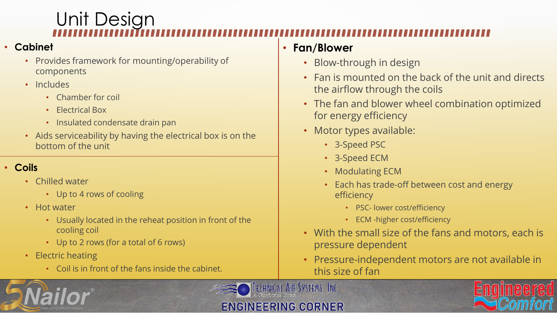## Unit Design

#### • **Cabinet**

- Provides framework for mounting/operability of components
- Includes
	- Chamber for coil
	- Electrical Box
	- Insulated condensate drain pan
- Aids serviceability by having the electrical box is on the bottom of the unit

### • **Coils**

- Chilled water
	- Up to 4 rows of cooling
- Hot water
	- Usually located in the reheat position in front of the cooling coil
	- Up to 2 rows (for a total of 6 rows)
- Electric heating
	- Coil is in front of the fans inside the cabinet.

### • **Fan/Blower**

- Blow-through in design
- Fan is mounted on the back of the unit and directs the airflow through the coils
- The fan and blower wheel combination optimized for energy efficiency
- Motor types available:
	- 3-Speed PSC
	- 3-Speed ECM
	- Modulating ECM
	- Each has trade-off between cost and energy efficiency
		- PSC- lower cost/efficiency
		- ECM -higher cost/efficiency
- With the small size of the fans and motors, each is pressure dependent
- Pressure-independent motors are not available in this size of fan





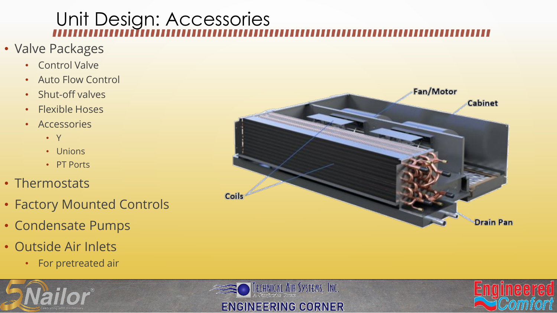## Unit Design: Accessories

TECHNICAL AIR SYSTEMS, INC.

**ENGINEERING CORNER** 

- Valve Packages
	- Control Valve
	- Auto Flow Control
	- Shut-off valves
	- Flexible Hoses
	- Accessories
		- Y
		- Unions
		- PT Ports
- Thermostats
- Factory Mounted Controls
- Condensate Pumps
- Outside Air Inlets
	- For pretreated air





mee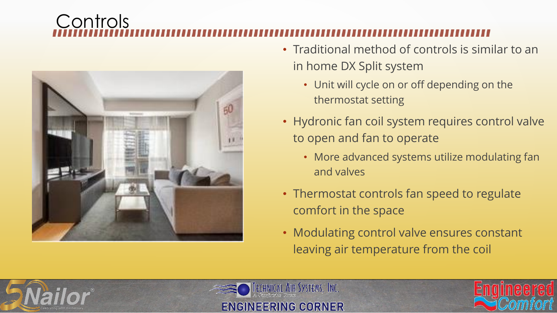## **Controls**



- Traditional method of controls is similar to an in home DX Split system
	- Unit will cycle on or off depending on the thermostat setting
- Hydronic fan coil system requires control valve to open and fan to operate
	- More advanced systems utilize modulating fan and valves
- Thermostat controls fan speed to regulate comfort in the space
- Modulating control valve ensures constant leaving air temperature from the coil





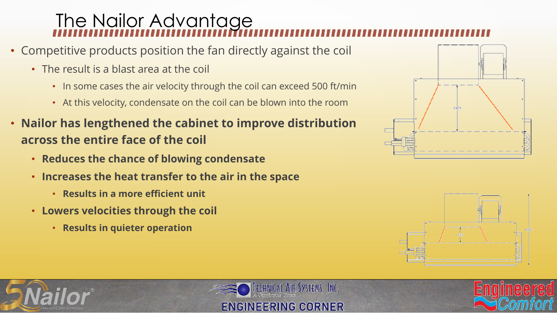## The Nailor Advantage

- Competitive products position the fan directly against the coil
	- The result is a blast area at the coil
		- In some cases the air velocity through the coil can exceed 500 ft/min
		- At this velocity, condensate on the coil can be blown into the room
- **Nailor has lengthened the cabinet to improve distribution across the entire face of the coil**
	- **Reduces the chance of blowing condensate**
	- **Increases the heat transfer to the air in the space**
		- **Results in a more efficient unit**
	- **Lowers velocities through the coil** 
		- **Results in quieter operation**